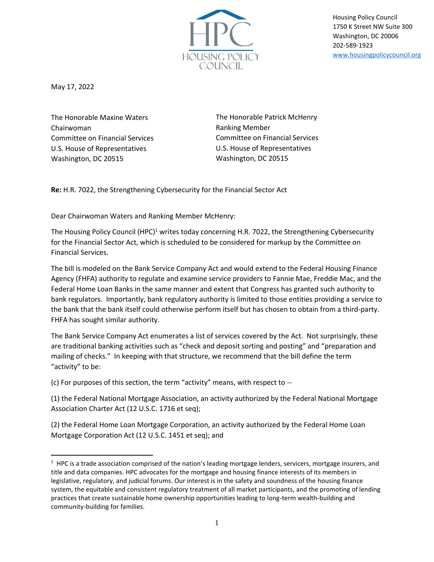

Housing Policy Council 1750 K Street NW Suite 300 Washington, DC 20006 202-589-1923 [www.housingpolicycouncil.org](http://www.housingpolicycouncil.org/)

May 17, 2022

The Honorable Maxine Waters Chairwoman Committee on Financial Services U.S. House of Representatives Washington, DC 20515

The Honorable Patrick McHenry Ranking Member Committee on Financial Services U.S. House of Representatives Washington, DC 20515

**Re:** H.R. 7022, the Strengthening Cybersecurity for the Financial Sector Act

Dear Chairwoman Waters and Ranking Member McHenry:

The Housing Policy Council (HPC)<sup>1</sup> writes today concerning H.R. 7022, the Strengthening Cybersecurity for the Financial Sector Act, which is scheduled to be considered for markup by the Committee on Financial Services.

The bill is modeled on the Bank Service Company Act and would extend to the Federal Housing Finance Agency (FHFA) authority to regulate and examine service providers to Fannie Mae, Freddie Mac, and the Federal Home Loan Banks in the same manner and extent that Congress has granted such authority to bank regulators. Importantly, bank regulatory authority is limited to those entities providing a service to the bank that the bank itself could otherwise perform itself but has chosen to obtain from a third-party. FHFA has sought similar authority.

The Bank Service Company Act enumerates a list of services covered by the Act. Not surprisingly, these are traditional banking activities such as "check and deposit sorting and posting" and "preparation and mailing of checks." In keeping with that structure, we recommend that the bill define the term "activity" to be:

(c) For purposes of this section, the term "activity" means, with respect to --

(1) the Federal National Mortgage Association, an activity authorized by the Federal National Mortgage Association Charter Act (12 U.S.C. 1716 et seq);

(2) the Federal Home Loan Mortgage Corporation, an activity authorized by the Federal Home Loan Mortgage Corporation Act (12 U.S.C. 1451 et seq); and

 $1$  HPC is a trade association comprised of the nation's leading mortgage lenders, servicers, mortgage insurers, and title and data companies. HPC advocates for the mortgage and housing finance interests of its members in legislative, regulatory, and judicial forums. Our interest is in the safety and soundness of the housing finance system, the equitable and consistent regulatory treatment of all market participants, and the promoting of lending practices that create sustainable home ownership opportunities leading to long-term wealth-building and community-building for families.